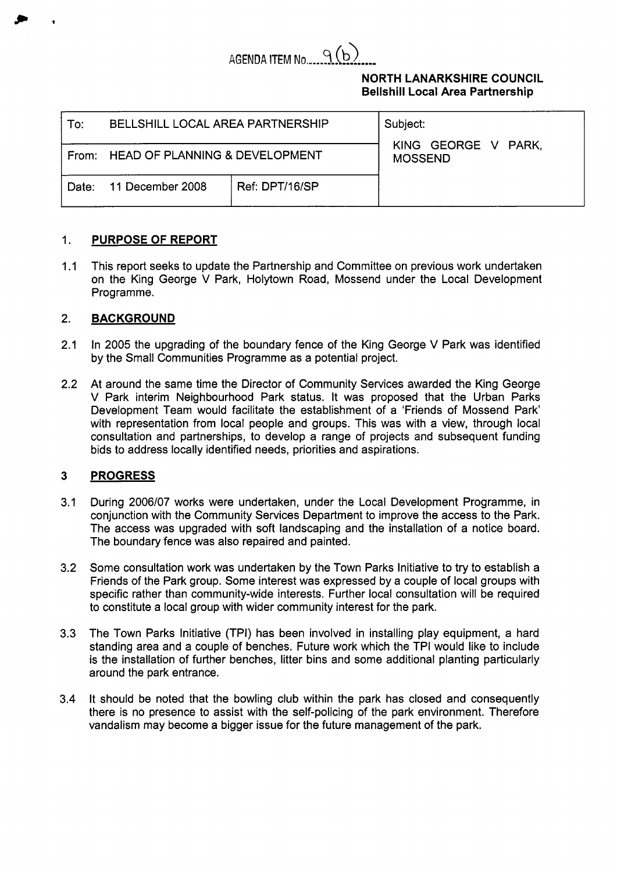

# **NORTH LANARKSHIRE COUNCIL Bellshill Local Area Partnership**

| To∶   | <b>BELLSHILL LOCAL AREA PARTNERSHIP</b> |                | Subject:                              |  |
|-------|-----------------------------------------|----------------|---------------------------------------|--|
|       | From: HEAD OF PLANNING & DEVELOPMENT    |                | KING GEORGE V PARK,<br><b>MOSSEND</b> |  |
| Date: | 11 December 2008                        | Ref: DPT/16/SP |                                       |  |

### 1. **PURPOSE OF REPORT**

 $1.1$ This report seeks to update the Partnership and Committee on previous work undertaken on the King George V Park, Holytown Road, Mossend under the Local Development Programme.

## 2. **BACKGROUND**

- 2.1 In 2005 the upgrading of the boundary fence of the King George V Park was identified by the Small Communities Programme as a potential project.
- 2.2 At around the same time the Director of Community Services awarded the King George V Park interim Neighbourhood Park status. It was proposed that the Urban Parks Development Team would facilitate the establishment of a 'Friends of Mossend Park' with representation from local people and groups. This was with a view, through local consultation and partnerships, to develop a range of projects and subsequent funding bids to address locally identified needs, priorities and aspirations.

### **3 PROGRESS**

- 3.1 During 2006/07 works were undertaken, under the Local Development Programme, in conjunction with the Community Services Department to improve the access to the Park. The access was upgraded with soft landscaping and the installation of a notice board. The boundary fence was also repaired and painted.
- 3.2 Some consultation work was undertaken by the Town Parks Initiative to try to establish a Friends of the Park group. Some interest was expressed by a couple of local groups with specific rather than community-wide interests. Further local consultation will be required to constitute a local group with wider community interest for the park.
- 3.3 The Town Parks Initiative (TPI) has been involved in installing play equipment, a hard standing area and a couple of benches. Future work which the TPI would like to include is the installation of further benches, litter bins and some additional planting particularly around the park entrance.
- 3.4 It should be noted that the bowling club within the park has closed and consequently there is no presence to assist with the self-policing of the park environment. Therefore vandalism may become a bigger issue for the future management of the park.